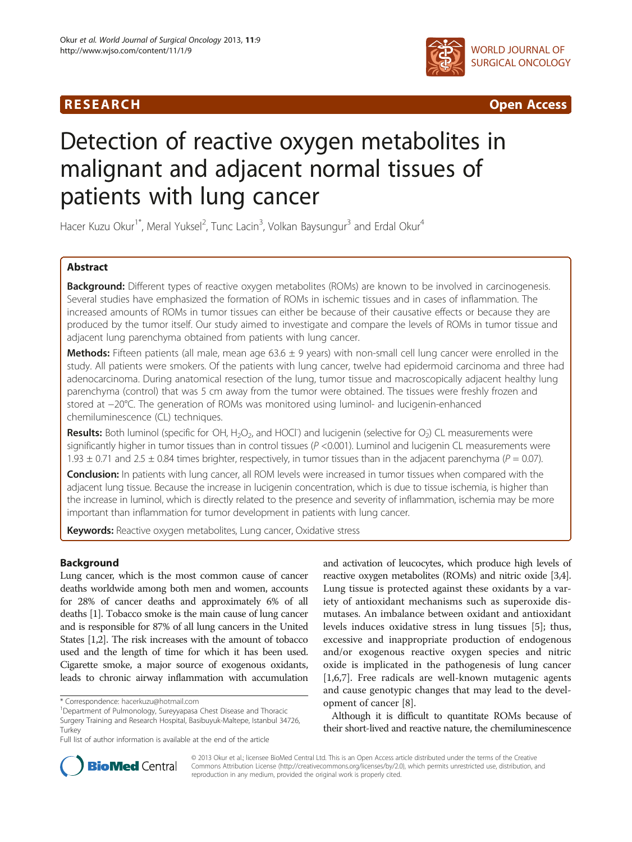

R E S EAR CH Open Access

# Detection of reactive oxygen metabolites in malignant and adjacent normal tissues of patients with lung cancer

Hacer Kuzu Okur<sup>1\*</sup>, Meral Yuksel<sup>2</sup>, Tunc Lacin<sup>3</sup>, Volkan Baysungur<sup>3</sup> and Erdal Okur<sup>4</sup>

# Abstract

Background: Different types of reactive oxygen metabolites (ROMs) are known to be involved in carcinogenesis. Several studies have emphasized the formation of ROMs in ischemic tissues and in cases of inflammation. The increased amounts of ROMs in tumor tissues can either be because of their causative effects or because they are produced by the tumor itself. Our study aimed to investigate and compare the levels of ROMs in tumor tissue and adjacent lung parenchyma obtained from patients with lung cancer.

**Methods:** Fifteen patients (all male, mean age  $63.6 \pm 9$  years) with non-small cell lung cancer were enrolled in the study. All patients were smokers. Of the patients with lung cancer, twelve had epidermoid carcinoma and three had adenocarcinoma. During anatomical resection of the lung, tumor tissue and macroscopically adjacent healthy lung parenchyma (control) that was 5 cm away from the tumor were obtained. The tissues were freshly frozen and stored at −20°C. The generation of ROMs was monitored using luminol- and lucigenin-enhanced chemiluminescence (CL) techniques.

Results: Both luminol (specific for OH, H<sub>2</sub>O<sub>2</sub>, and HOCl<sup>-</sup>) and lucigenin (selective for O<sub>2</sub>) CL measurements were significantly higher in tumor tissues than in control tissues ( $P < 0.001$ ). Luminol and lucigenin CL measurements were 1.93  $\pm$  0.71 and 2.5  $\pm$  0.84 times brighter, respectively, in tumor tissues than in the adjacent parenchyma ( $P = 0.07$ ).

**Conclusion:** In patients with lung cancer, all ROM levels were increased in tumor tissues when compared with the adjacent lung tissue. Because the increase in lucigenin concentration, which is due to tissue ischemia, is higher than the increase in luminol, which is directly related to the presence and severity of inflammation, ischemia may be more important than inflammation for tumor development in patients with lung cancer.

Keywords: Reactive oxygen metabolites, Lung cancer, Oxidative stress

# Background

Lung cancer, which is the most common cause of cancer deaths worldwide among both men and women, accounts for 28% of cancer deaths and approximately 6% of all deaths [\[1](#page-3-0)]. Tobacco smoke is the main cause of lung cancer and is responsible for 87% of all lung cancers in the United States [[1,2](#page-3-0)]. The risk increases with the amount of tobacco used and the length of time for which it has been used. Cigarette smoke, a major source of exogenous oxidants, leads to chronic airway inflammation with accumulation

and activation of leucocytes, which produce high levels of reactive oxygen metabolites (ROMs) and nitric oxide [\[3,4](#page-3-0)]. Lung tissue is protected against these oxidants by a variety of antioxidant mechanisms such as superoxide dismutases. An imbalance between oxidant and antioxidant levels induces oxidative stress in lung tissues [\[5\]](#page-3-0); thus, excessive and inappropriate production of endogenous and/or exogenous reactive oxygen species and nitric oxide is implicated in the pathogenesis of lung cancer [[1,6,7\]](#page-3-0). Free radicals are well-known mutagenic agents and cause genotypic changes that may lead to the development of cancer [[8\]](#page-3-0).

Although it is difficult to quantitate ROMs because of their short-lived and reactive nature, the chemiluminescence



© 2013 Okur et al.; licensee BioMed Central Ltd. This is an Open Access article distributed under the terms of the Creative Commons Attribution License [\(http://creativecommons.org/licenses/by/2.0\)](http://creativecommons.org/licenses/by/2.0), which permits unrestricted use, distribution, and reproduction in any medium, provided the original work is properly cited.

<sup>\*</sup> Correspondence: [hacerkuzu@hotmail.com](mailto:hacerkuzu@hotmail.com) <sup>1</sup>

Department of Pulmonology, Sureyyapasa Chest Disease and Thoracic Surgery Training and Research Hospital, Basibuyuk-Maltepe, Istanbul 34726, Turkey

Full list of author information is available at the end of the article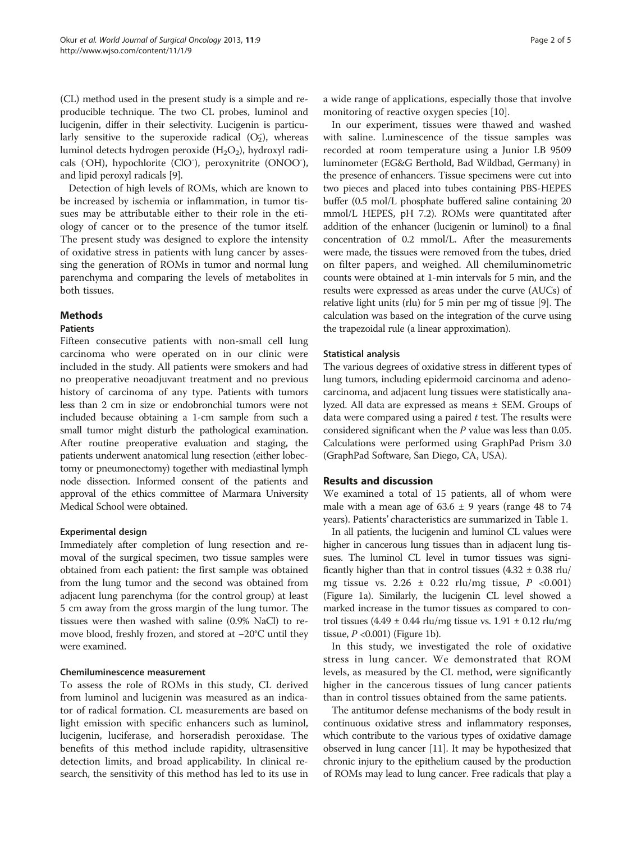(CL) method used in the present study is a simple and reproducible technique. The two CL probes, luminol and lucigenin, differ in their selectivity. Lucigenin is particularly sensitive to the superoxide radical  $(O_2)$ , whereas luminol detects hydrogen peroxide  $(H_2O_2)$ , hydroxyl radicals (OH), hypochlorite (ClO<sup>-</sup>), peroxynitrite (ONOO<sup>-</sup>), and lipid peroxyl radicals [\[9](#page-3-0)].

Detection of high levels of ROMs, which are known to be increased by ischemia or inflammation, in tumor tissues may be attributable either to their role in the etiology of cancer or to the presence of the tumor itself. The present study was designed to explore the intensity of oxidative stress in patients with lung cancer by assessing the generation of ROMs in tumor and normal lung parenchyma and comparing the levels of metabolites in both tissues.

# **Methods**

# Patients

Fifteen consecutive patients with non-small cell lung carcinoma who were operated on in our clinic were included in the study. All patients were smokers and had no preoperative neoadjuvant treatment and no previous history of carcinoma of any type. Patients with tumors less than 2 cm in size or endobronchial tumors were not included because obtaining a 1-cm sample from such a small tumor might disturb the pathological examination. After routine preoperative evaluation and staging, the patients underwent anatomical lung resection (either lobectomy or pneumonectomy) together with mediastinal lymph node dissection. Informed consent of the patients and approval of the ethics committee of Marmara University Medical School were obtained.

# Experimental design

Immediately after completion of lung resection and removal of the surgical specimen, two tissue samples were obtained from each patient: the first sample was obtained from the lung tumor and the second was obtained from adjacent lung parenchyma (for the control group) at least 5 cm away from the gross margin of the lung tumor. The tissues were then washed with saline (0.9% NaCl) to remove blood, freshly frozen, and stored at −20°C until they were examined.

# Chemiluminescence measurement

To assess the role of ROMs in this study, CL derived from luminol and lucigenin was measured as an indicator of radical formation. CL measurements are based on light emission with specific enhancers such as luminol, lucigenin, luciferase, and horseradish peroxidase. The benefits of this method include rapidity, ultrasensitive detection limits, and broad applicability. In clinical research, the sensitivity of this method has led to its use in

a wide range of applications, especially those that involve monitoring of reactive oxygen species [\[10](#page-3-0)].

In our experiment, tissues were thawed and washed with saline. Luminescence of the tissue samples was recorded at room temperature using a Junior LB 9509 luminometer (EG&G Berthold, Bad Wildbad, Germany) in the presence of enhancers. Tissue specimens were cut into two pieces and placed into tubes containing PBS-HEPES buffer (0.5 mol/L phosphate buffered saline containing 20 mmol/L HEPES, pH 7.2). ROMs were quantitated after addition of the enhancer (lucigenin or luminol) to a final concentration of 0.2 mmol/L. After the measurements were made, the tissues were removed from the tubes, dried on filter papers, and weighed. All chemiluminometric counts were obtained at 1-min intervals for 5 min, and the results were expressed as areas under the curve (AUCs) of relative light units (rlu) for 5 min per mg of tissue [\[9\]](#page-3-0). The calculation was based on the integration of the curve using the trapezoidal rule (a linear approximation).

# Statistical analysis

The various degrees of oxidative stress in different types of lung tumors, including epidermoid carcinoma and adenocarcinoma, and adjacent lung tissues were statistically analyzed. All data are expressed as means ± SEM. Groups of data were compared using a paired  $t$  test. The results were considered significant when the  $P$  value was less than 0.05. Calculations were performed using GraphPad Prism 3.0 (GraphPad Software, San Diego, CA, USA).

# Results and discussion

We examined a total of 15 patients, all of whom were male with a mean age of  $63.6 \pm 9$  years (range 48 to 74 years). Patients' characteristics are summarized in Table [1](#page-2-0).

In all patients, the lucigenin and luminol CL values were higher in cancerous lung tissues than in adjacent lung tissues. The luminol CL level in tumor tissues was significantly higher than that in control tissues  $(4.32 \pm 0.38 \text{ r/u})$ mg tissue vs. 2.26  $\pm$  0.22 rlu/mg tissue, P <0.001) (Figure [1a](#page-2-0)). Similarly, the lucigenin CL level showed a marked increase in the tumor tissues as compared to control tissues (4.49  $\pm$  0.44 rlu/mg tissue vs. 1.91  $\pm$  0.12 rlu/mg tissue,  $P \leq 0.001$ ) (Figure [1b](#page-2-0)).

In this study, we investigated the role of oxidative stress in lung cancer. We demonstrated that ROM levels, as measured by the CL method, were significantly higher in the cancerous tissues of lung cancer patients than in control tissues obtained from the same patients.

The antitumor defense mechanisms of the body result in continuous oxidative stress and inflammatory responses, which contribute to the various types of oxidative damage observed in lung cancer [[11](#page-3-0)]. It may be hypothesized that chronic injury to the epithelium caused by the production of ROMs may lead to lung cancer. Free radicals that play a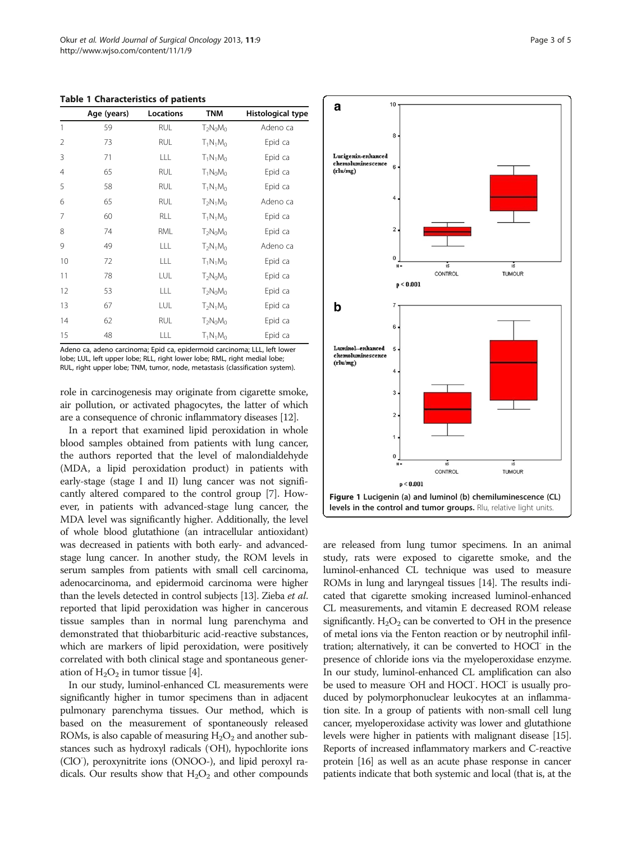<span id="page-2-0"></span>Table 1 Characteristics of patients

|    | Age (years) | Locations | <b>TNM</b>  | Histological type |
|----|-------------|-----------|-------------|-------------------|
| 1  | 59          | RUL       | $T_2N_0M_0$ | Adeno ca          |
| 2  | 73          | RUL       | $T_1N_1M_0$ | Epid ca           |
| 3  | 71          | LLL       | $T_1N_1M_0$ | Epid ca           |
| 4  | 65          | RUL       | $T_1N_0M_0$ | Epid ca           |
| 5  | 58          | RUL       | $T_1N_1M_0$ | Epid ca           |
| 6  | 65          | RUL       | $T_2N_1M_0$ | Adeno ca          |
| 7  | 60          | RLL       | $T_1N_1M_0$ | Epid ca           |
| 8  | 74          | RML       | $T_2N_0M_0$ | Epid ca           |
| 9  | 49          | LLL       | $T_2N_1M_0$ | Adeno ca          |
| 10 | 72          | LLL       | $T_1N_1M_0$ | Epid ca           |
| 11 | 78          | LUL       | $T_2N_0M_0$ | Epid ca           |
| 12 | 53          | LLL       | $T_2N_0M_0$ | Epid ca           |
| 13 | 67          | LUL       | $T_2N_1M_0$ | Epid ca           |
| 14 | 62          | RUL       | $T_2N_0M_0$ | Epid ca           |
| 15 | 48          | LLL       | $T_1N_1M_0$ | Epid ca           |

Adeno ca, adeno carcinoma; Epid ca, epidermoid carcinoma; LLL, left lower lobe; LUL, left upper lobe; RLL, right lower lobe; RML, right medial lobe; RUL, right upper lobe; TNM, tumor, node, metastasis (classification system).

role in carcinogenesis may originate from cigarette smoke, air pollution, or activated phagocytes, the latter of which are a consequence of chronic inflammatory diseases [\[12](#page-3-0)].

In a report that examined lipid peroxidation in whole blood samples obtained from patients with lung cancer, the authors reported that the level of malondialdehyde (MDA, a lipid peroxidation product) in patients with early-stage (stage I and II) lung cancer was not significantly altered compared to the control group [[7](#page-3-0)]. However, in patients with advanced-stage lung cancer, the MDA level was significantly higher. Additionally, the level of whole blood glutathione (an intracellular antioxidant) was decreased in patients with both early- and advancedstage lung cancer. In another study, the ROM levels in serum samples from patients with small cell carcinoma, adenocarcinoma, and epidermoid carcinoma were higher than the levels detected in control subjects [[13](#page-3-0)]. Zieba et al. reported that lipid peroxidation was higher in cancerous tissue samples than in normal lung parenchyma and demonstrated that thiobarbituric acid-reactive substances, which are markers of lipid peroxidation, were positively correlated with both clinical stage and spontaneous generation of  $H_2O_2$  in tumor tissue [\[4\]](#page-3-0).

In our study, luminol-enhanced CL measurements were significantly higher in tumor specimens than in adjacent pulmonary parenchyma tissues. Our method, which is based on the measurement of spontaneously released ROMs, is also capable of measuring  $H_2O_2$  and another substances such as hydroxyl radicals (OH), hypochlorite ions (ClO- ), peroxynitrite ions (ONOO-), and lipid peroxyl radicals. Our results show that  $H_2O_2$  and other compounds



are released from lung tumor specimens. In an animal study, rats were exposed to cigarette smoke, and the luminol-enhanced CL technique was used to measure ROMs in lung and laryngeal tissues [\[14\]](#page-3-0). The results indicated that cigarette smoking increased luminol-enhanced CL measurements, and vitamin E decreased ROM release significantly.  $H_2O_2$  can be converted to OH in the presence of metal ions via the Fenton reaction or by neutrophil infiltration; alternatively, it can be converted to HOCl- in the presence of chloride ions via the myeloperoxidase enzyme. In our study, luminol-enhanced CL amplification can also be used to measure 'OH and HOCl'. HOCl' is usually produced by polymorphonuclear leukocytes at an inflammation site. In a group of patients with non-small cell lung cancer, myeloperoxidase activity was lower and glutathione levels were higher in patients with malignant disease [\[15](#page-3-0)]. Reports of increased inflammatory markers and C-reactive protein [\[16](#page-3-0)] as well as an acute phase response in cancer patients indicate that both systemic and local (that is, at the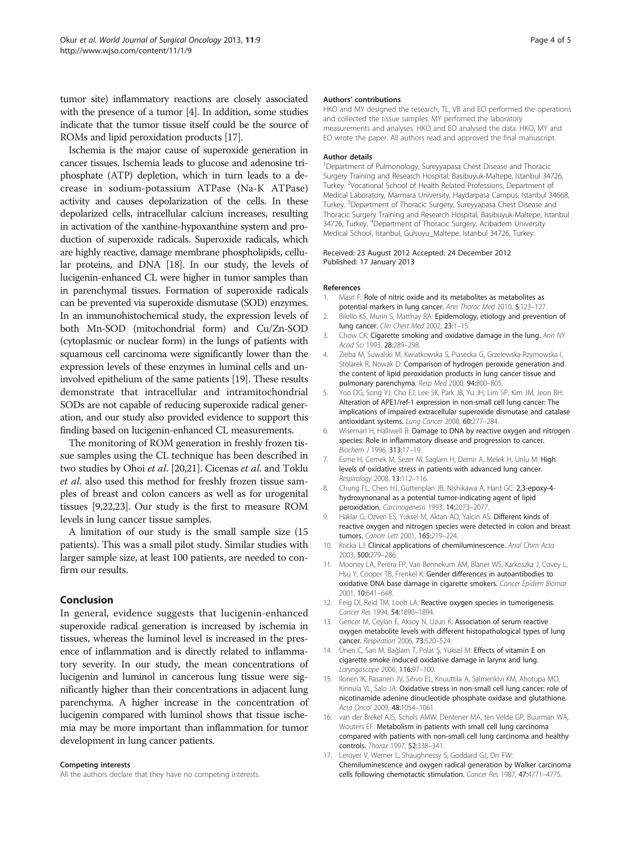<span id="page-3-0"></span>tumor site) inflammatory reactions are closely associated with the presence of a tumor [4]. In addition, some studies indicate that the tumor tissue itself could be the source of ROMs and lipid peroxidation products [17].

Ischemia is the major cause of superoxide generation in cancer tissues. Ischemia leads to glucose and adenosine triphosphate (ATP) depletion, which in turn leads to a decrease in sodium-potassium ATPase (Na-K ATPase) activity and causes depolarization of the cells. In these depolarized cells, intracellular calcium increases, resulting in activation of the xanthine-hypoxanthine system and production of superoxide radicals. Superoxide radicals, which are highly reactive, damage membrane phospholipids, cellular proteins, and DNA [[18](#page-4-0)]. In our study, the levels of lucigenin-enhanced CL were higher in tumor samples than in parenchymal tissues. Formation of superoxide radicals can be prevented via superoxide dismutase (SOD) enzymes. In an immunohistochemical study, the expression levels of both Mn-SOD (mitochondrial form) and Cu/Zn-SOD (cytoplasmic or nuclear form) in the lungs of patients with squamous cell carcinoma were significantly lower than the expression levels of these enzymes in luminal cells and uninvolved epithelium of the same patients [[19\]](#page-4-0). These results demonstrate that intracellular and intramitochondrial SODs are not capable of reducing superoxide radical generation, and our study also provided evidence to support this finding based on lucigenin-enhanced CL measurements.

The monitoring of ROM generation in freshly frozen tissue samples using the CL technique has been described in two studies by Ohoi et al. [\[20,21\]](#page-4-0). Cicenas et al. and Toklu et al. also used this method for freshly frozen tissue samples of breast and colon cancers as well as for urogenital tissues [9,[22,23\]](#page-4-0). Our study is the first to measure ROM levels in lung cancer tissue samples.

A limitation of our study is the small sample size (15 patients). This was a small pilot study. Similar studies with larger sample size, at least 100 patients, are needed to confirm our results.

#### Conclusion

In general, evidence suggests that lucigenin-enhanced superoxide radical generation is increased by ischemia in tissues, whereas the luminol level is increased in the presence of inflammation and is directly related to inflammatory severity. In our study, the mean concentrations of lucigenin and luminol in cancerous lung tissue were significantly higher than their concentrations in adjacent lung parenchyma. A higher increase in the concentration of lucigenin compared with luminol shows that tissue ischemia may be more important than inflammation for tumor development in lung cancer patients.

#### Competing interests

All the authors declare that they have no competing interests.

#### Authors' contributions

HKO and MY designed the research, TL, VB and EO performed the operations and collected the tissue samples. MY perfomed the laboratory measurements and analyses. HKO and EO analysed the data. HKO, MY and EO wrote the paper. All authors read and approved the final manuscript.

#### Author details

<sup>1</sup>Department of Pulmonology, Sureyyapasa Chest Disease and Thoracic Surgery Training and Research Hospital, Basibuyuk-Maltepe, Istanbul 34726, Turkey. <sup>2</sup>Vocational School of Health Related Professions, Department of Medical Laboratory, Marmara University, Haydarpasa Campus, Istanbul 34668, Turkey. <sup>3</sup>Department of Thoracic Surgery, Sureyyapasa Chest Disease and Thoracic Surgery Training and Research Hospital, Basibuyuk-Maltepe, Istanbul 34726, Turkey. <sup>4</sup>Department of Thoracic Surgery, Acibadem University Medical School, Istanbul, Gulsuyu\_Maltepe, Istanbul 34726, Turkey.

Received: 23 August 2012 Accepted: 24 December 2012 Published: 17 January 2013

#### References

- 1. Masri F: Role of nitric oxide and its metabolites as metabolites as potential markers in lung cancer. Ann Thorac Med 2010, 5:123–127.
- 2. Bilello KS, Murin S, Matthay RA: Epidemology, etiology and prevention of lung cancer. Clin Chest Med 2002, 23:1–15.
- 3. Chow CK: Cigarette smoking and oxidative damage in the lung. Ann NY Acad Sci 1993, 28:289–298.
- 4. Zieba M, Suwalski M, Kwiatkowska S, Piasecka G, Grzelewska-Rzymowska I, Stolarek R, Nowak D: Comparison of hydrogen peroxide generation and the content of lipid peroxidation products in lung cancer tissue and pulmonary parenchyma. Resp Med 2000, 94:800–805.
- 5. Yoo DG, Song YJ, Cho EJ, Lee SK, Park JB, Yu JH, Lim SP, Kim JM, Jeon BH: Alteration of APE1/ref-1 expression in non-small cell lung cancer: The implications of impaired extracellular superoxide dismutase and catalase antioxidant systems. Lung Cancer 2008, 60:277–284.
- 6. Wiseman H, Halliwell B: Damage to DNA by reactive oxygen and nitrogen species: Role in inflammatory disease and progression to cancer. Biochem J 1996, 313:17–19.
- 7. Esme H, Cemek M, Sezer M, Saglam H, Demir A, Melek H, Unlu M: High levels of oxidative stress in patients with advanced lung cancer. Respirology 2008, 13:112–116.
- 8. Chung FL, Chen HJ, Guttenplan JB, Nishikawa A, Hard GC: 2,3-epoxy-4 hydroxynonanal as a potential tumor-indicating agent of lipid peroxidation. Carcinogenesis 1993, 14:2073–2077.
- 9. Haklar G, Ozveri ES, Yuksel M, Aktan AO, Yalcin AS: Different kinds of reactive oxygen and nitrogen species were detected in colon and breast tumors. Cancer Lett 2001, 165:219–224.
- 10. Kricka LJ: Clinical applications of chemiluminescence. Anal Chim Acta 2003, 500:279–286.
- 11. Mooney LA, Perera FP, Van Bennekum AM, Blaner WS, Karkoszka J, Covey L, Hsu Y, Cooper TB, Frenkel K: Gender differences in autoantibodies to oxidative DNA base damage in cigarette smokers. Cancer Epidem Biomar 2001, 10:641–648.
- 12. Feig DI, Reid TM, Loeb LA: Reactive oxygen species in tumorigenesis. Cancer Res 1994, 54:1890–1894.
- 13. Gencer M, Ceylan E, Aksoy N, Uzun K: Association of serum reactive oxygen metabolite levels with different histopathological types of lung cancer. Respiration 2006, 73:520–524.
- 14. Üneri C, Sari M, Bağlam T, Polat Ş, Yüksel M: Effects of vitamin E on cigarette smoke induced oxidative damage in larynx and lung. Laryngoscope 2006, 116:97–100.
- 15. Ilonen IK, Rasanen JV, Sihvo EL, Knuuttila A, Salmenkivi KM, Ahotupa MO, Kinnula VL, Salo JA: Oxidative stress in non-small cell lung cancer: role of nicotinamide adenine dinucleotide phosphate oxidase and glutathione. Acta Oncol 2009, 48:1054–1061.
- 16. van der Brekel AJS, Schols AMW, Dentener MA, ten Velde GP, Buurman WA, Wouters EF: Metabolism in patients with small cell lung carcinoma compared with patients with non-small cell lung carcinoma and healthy controls. Thorax 1997, 52:338–341.
- 17. Leroyer V, Werner L, Shaughnessy S, Goddard GJ, Orr FW: Chemiluminescence and oxygen radical generation by Walker carcinoma cells following chemotactic stimulation. Cancer Res 1987, 47:4771–4775.